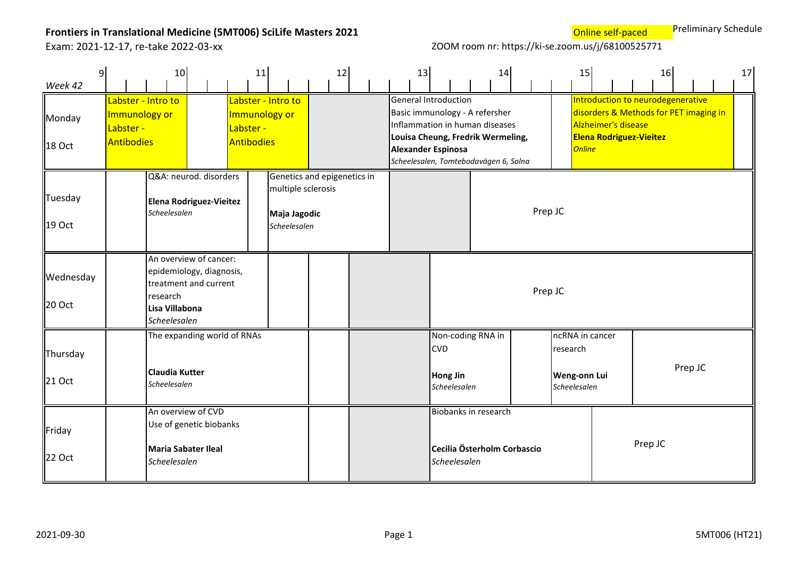**Online self-paced** Preliminary Schedule

| 9 <br>Week 42       |                                                                                                                           | 10                                                                |  | 11                                       |                                                    | 12                          | 13 |                                                                                                                                                                                                            | 14                          |         | 15                                                          |                                                       | 16                                                                          |         | 17 |
|---------------------|---------------------------------------------------------------------------------------------------------------------------|-------------------------------------------------------------------|--|------------------------------------------|----------------------------------------------------|-----------------------------|----|------------------------------------------------------------------------------------------------------------------------------------------------------------------------------------------------------------|-----------------------------|---------|-------------------------------------------------------------|-------------------------------------------------------|-----------------------------------------------------------------------------|---------|----|
| Monday<br>18 Oct    | Immunology or<br>Labster -<br><b>Antibodies</b>                                                                           | Labster - Intro to                                                |  | Immunology or<br>Labster -<br>Antibodies | Labster - Intro to                                 |                             |    | <b>General Introduction</b><br>Basic immunology - A refersher<br>Inflammation in human diseases<br>Louisa Cheung, Fredrik Wermeling,<br><b>Alexander Espinosa</b><br>Scheelesalen, Tomtebodavägen 6, Solna |                             |         | <b>Online</b>                                               | Alzheimer's disease<br><b>Elena Rodriguez-Vieitez</b> | Introduction to neurodegenerative<br>disorders & Methods for PET imaging in |         |    |
| Tuesday<br>19 Oct   |                                                                                                                           | Q&A: neurod. disorders<br>Elena Rodriguez-Vieitez<br>Scheelesalen |  |                                          | multiple sclerosis<br>Maja Jagodic<br>Scheelesalen | Genetics and epigenetics in |    |                                                                                                                                                                                                            |                             | Prep JC |                                                             |                                                       |                                                                             |         |    |
| Wednesday<br>20 Oct | An overview of cancer:<br>epidemiology, diagnosis,<br>treatment and current<br>research<br>Lisa Villabona<br>Scheelesalen |                                                                   |  |                                          |                                                    |                             |    |                                                                                                                                                                                                            |                             | Prep JC |                                                             |                                                       |                                                                             |         |    |
| Thursday<br>21 Oct  | The expanding world of RNAs<br>Claudia Kutter<br>Scheelesalen                                                             |                                                                   |  |                                          |                                                    |                             |    | Non-coding RNA in<br><b>CVD</b><br><b>Hong Jin</b><br>Scheelesalen                                                                                                                                         |                             |         | ncRNA in cancer<br>research<br>Weng-onn Lui<br>Scheelesalen |                                                       |                                                                             | Prep JC |    |
| Friday<br>22 Oct    | An overview of CVD<br>Use of genetic biobanks<br>Maria Sabater Ileal<br>Scheelesalen                                      |                                                                   |  |                                          |                                                    |                             |    | Biobanks in research<br>Scheelesalen                                                                                                                                                                       | Cecilia Österholm Corbascio |         |                                                             |                                                       | Prep JC                                                                     |         |    |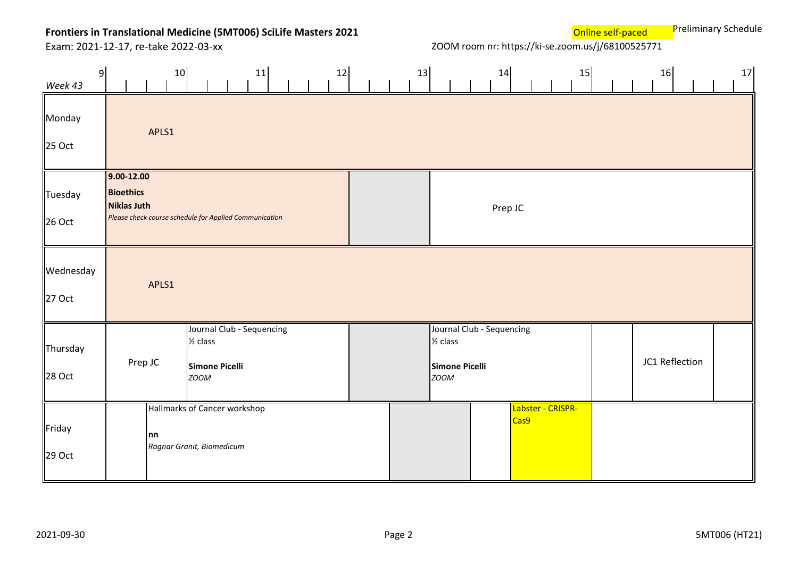**Online self-paced** Preliminary Schedule

| 9 <sup>1</sup><br>Week 43 | 10                                                       | 12<br>11                                                                          | 13 | 14                                                                                       | 15                        | 16             | 17 |
|---------------------------|----------------------------------------------------------|-----------------------------------------------------------------------------------|----|------------------------------------------------------------------------------------------|---------------------------|----------------|----|
| Monday<br>25 Oct          | APLS1                                                    |                                                                                   |    |                                                                                          |                           |                |    |
| Tuesday<br>26 Oct         | $9.00 - 12.00$<br><b>Bioethics</b><br><b>Niklas Juth</b> | Please check course schedule for Applied Communication                            |    |                                                                                          | Prep JC                   |                |    |
| Wednesday<br>27 Oct       | APLS1                                                    |                                                                                   |    |                                                                                          |                           |                |    |
| Thursday<br>28 Oct        | Prep JC                                                  | Journal Club - Sequencing<br>$\frac{1}{2}$ class<br>Simone Picelli<br><b>ZOOM</b> |    | Journal Club - Sequencing<br>$\frac{1}{2}$ class<br><b>Simone Picelli</b><br><b>ZOOM</b> |                           | JC1 Reflection |    |
| Friday<br>29 Oct          | nn                                                       | Hallmarks of Cancer workshop<br>Ragnar Granit, Biomedicum                         |    |                                                                                          | Labster - CRISPR-<br>Cas9 |                |    |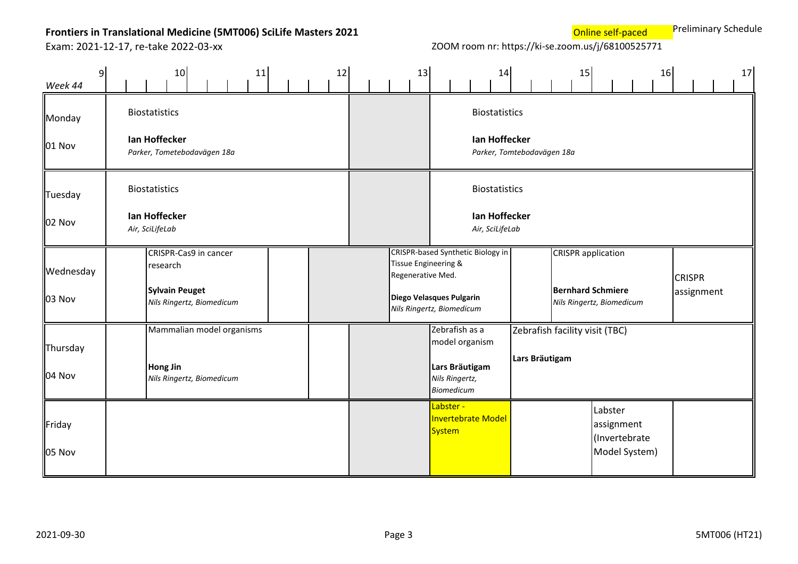**Online self-paced** Preliminary Schedule

| $\mathsf{g}$<br>Week 44    | 10<br>12<br>11                                                                          | 13                                        | 14                                                                                         | 15                                               | 16                                                                                 | 17                          |
|----------------------------|-----------------------------------------------------------------------------------------|-------------------------------------------|--------------------------------------------------------------------------------------------|--------------------------------------------------|------------------------------------------------------------------------------------|-----------------------------|
| Monday<br>01 Nov           | <b>Biostatistics</b><br>Ian Hoffecker<br>Parker, Tometebodavägen 18a                    |                                           | <b>Biostatistics</b><br>Ian Hoffecker                                                      | Parker, Tomtebodavägen 18a                       |                                                                                    |                             |
| Tuesday<br>02 Nov          | <b>Biostatistics</b><br>Ian Hoffecker<br>Air, SciLifeLab                                |                                           | <b>Biostatistics</b><br>Ian Hoffecker<br>Air, SciLifeLab                                   |                                                  |                                                                                    |                             |
| Wednesday<br><b>03 Nov</b> | CRISPR-Cas9 in cancer<br>research<br><b>Sylvain Peuget</b><br>Nils Ringertz, Biomedicum | Tissue Engineering &<br>Regenerative Med. | CRISPR-based Synthetic Biology in<br>Diego Velasques Pulgarin<br>Nils Ringertz, Biomedicum |                                                  | <b>CRISPR</b> application<br><b>Bernhard Schmiere</b><br>Nils Ringertz, Biomedicum | <b>CRISPR</b><br>assignment |
| Thursday<br>04 Nov         | Mammalian model organisms<br>Hong Jin<br>Nils Ringertz, Biomedicum                      |                                           | Zebrafish as a<br>model organism<br>Lars Bräutigam<br>Nils Ringertz,<br><b>Biomedicum</b>  | Zebrafish facility visit (TBC)<br>Lars Bräutigam |                                                                                    |                             |
| Friday<br>05 Nov           |                                                                                         |                                           | Labster -<br>Invertebrate Model<br>System                                                  |                                                  | Labster<br>assignment<br>(Invertebrate<br>Model System)                            |                             |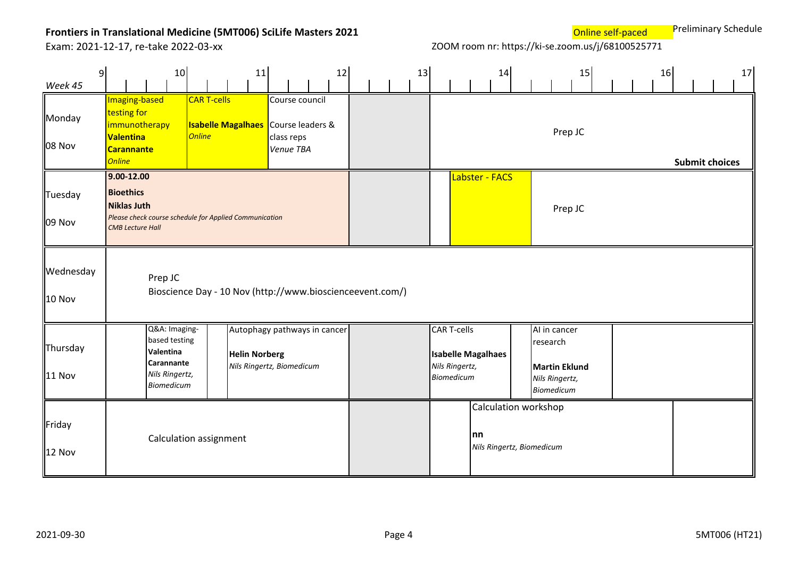**Online self-paced** Preliminary Schedule

| $\overline{9}$<br>Week 45  |                                                                                                                                               | 10 <sub>1</sub>                                                                                  |                                     | 11                                                                                |                         |                | 12 |  | 13 |                                                           | 14                                                       |                                                                                  | 15      | 16 | 17                    |
|----------------------------|-----------------------------------------------------------------------------------------------------------------------------------------------|--------------------------------------------------------------------------------------------------|-------------------------------------|-----------------------------------------------------------------------------------|-------------------------|----------------|----|--|----|-----------------------------------------------------------|----------------------------------------------------------|----------------------------------------------------------------------------------|---------|----|-----------------------|
| Monday<br>08 Nov           | Imaging-based<br>testing for<br>immunotherapy<br><b>Valentina</b><br><b>Carannante</b><br><b>Online</b>                                       |                                                                                                  | <b>CAR T-cells</b><br><b>Online</b> | <b>Isabelle Magalhaes</b> Course leaders &                                        | class reps<br>Venue TBA | Course council |    |  |    |                                                           |                                                          |                                                                                  | Prep JC |    | <b>Submit choices</b> |
| Tuesday<br>09 Nov          | $9.00 - 12.00$<br><b>Bioethics</b><br><b>Niklas Juth</b><br>Please check course schedule for Applied Communication<br><b>CMB Lecture Hall</b> |                                                                                                  |                                     |                                                                                   |                         |                |    |  |    |                                                           | Labster - FACS                                           |                                                                                  | Prep JC |    |                       |
| Wednesday<br><b>10 Nov</b> |                                                                                                                                               | Prep JC                                                                                          |                                     | Bioscience Day - 10 Nov (http://www.bioscienceevent.com/)                         |                         |                |    |  |    |                                                           |                                                          |                                                                                  |         |    |                       |
| Thursday<br><b>11 Nov</b>  |                                                                                                                                               | Q&A: Imaging-<br>based testing<br>Valentina<br><b>Carannante</b><br>Nils Ringertz,<br>Biomedicum |                                     | Autophagy pathways in cancer<br><b>Helin Norberg</b><br>Nils Ringertz, Biomedicum |                         |                |    |  |    | <b>CAR T-cells</b><br>Nils Ringertz,<br><b>Biomedicum</b> | <b>Isabelle Magalhaes</b>                                | Al in cancer<br>research<br><b>Martin Eklund</b><br>Nils Ringertz,<br>Biomedicum |         |    |                       |
| Friday<br><b>12 Nov</b>    |                                                                                                                                               | Calculation assignment                                                                           |                                     |                                                                                   |                         |                |    |  |    |                                                           | Calculation workshop<br> nn<br>Nils Ringertz, Biomedicum |                                                                                  |         |    |                       |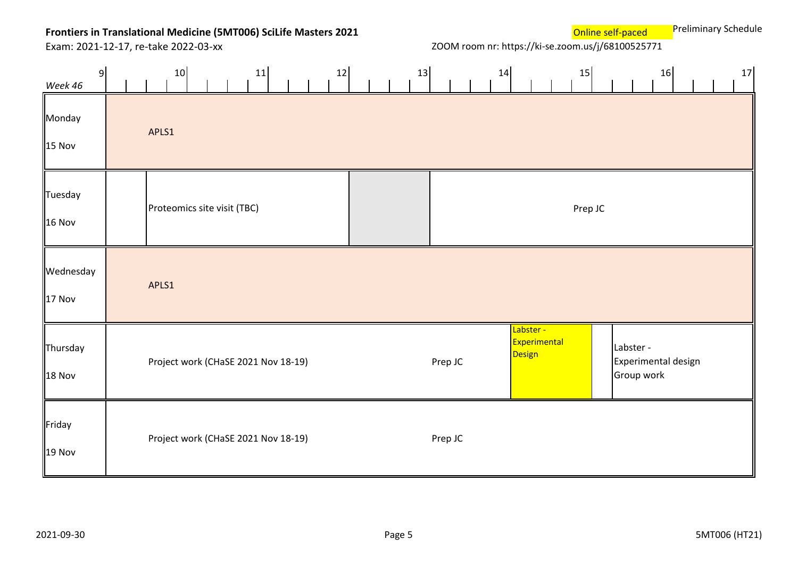**Online self-paced** Preliminary Schedule

| 9<br>Week 46             | 10                                  | 11 | 12 | 13 |         | 14 |                                     | 15      |                         | 16                  | 17 |
|--------------------------|-------------------------------------|----|----|----|---------|----|-------------------------------------|---------|-------------------------|---------------------|----|
| Monday<br>15 Nov         | APLS1                               |    |    |    |         |    |                                     |         |                         |                     |    |
| Tuesday<br><b>16 Nov</b> | Proteomics site visit (TBC)         |    |    |    |         |    |                                     | Prep JC |                         |                     |    |
| Wednesday<br>17 Nov      | APLS1                               |    |    |    |         |    |                                     |         |                         |                     |    |
| Thursday<br>18 Nov       | Project work (CHaSE 2021 Nov 18-19) |    |    |    | Prep JC |    | Labster -<br>Experimental<br>Design |         | Labster -<br>Group work | Experimental design |    |
| Friday<br>19 Nov         | Project work (CHaSE 2021 Nov 18-19) |    |    |    | Prep JC |    |                                     |         |                         |                     |    |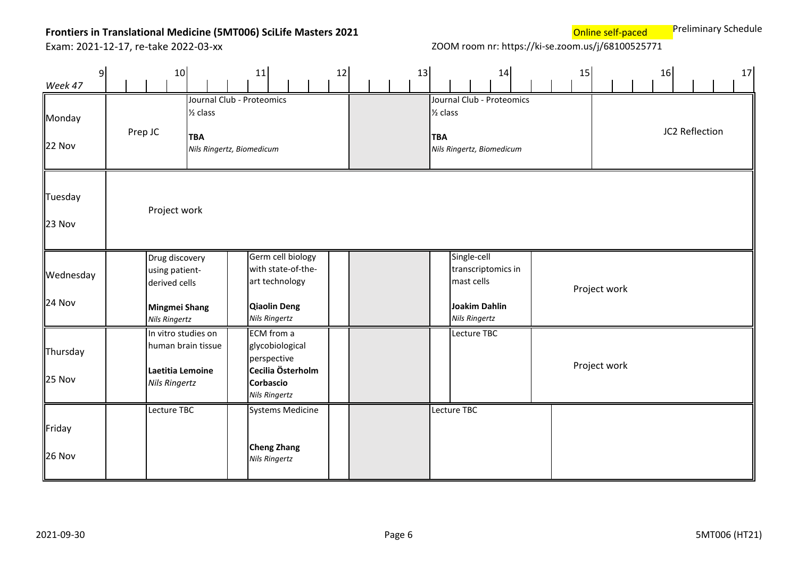**Online self-paced** Preliminary Schedule

| $\overline{9}$<br>Week 47 | 10 <sub>1</sub>                                                                            |                                   | 11                                                                                                       | 12 |  | 13 |                                   |                                                   | 14                                                     |  | 15 |              | 16 |                | 17 |
|---------------------------|--------------------------------------------------------------------------------------------|-----------------------------------|----------------------------------------------------------------------------------------------------------|----|--|----|-----------------------------------|---------------------------------------------------|--------------------------------------------------------|--|----|--------------|----|----------------|----|
| Monday<br>22 Nov          | Prep JC                                                                                    | $\frac{1}{2}$ class<br><b>TBA</b> | Journal Club - Proteomics<br>Nils Ringertz, Biomedicum                                                   |    |  |    | $\frac{1}{2}$ class<br><b>TBA</b> |                                                   | Journal Club - Proteomics<br>Nils Ringertz, Biomedicum |  |    |              |    | JC2 Reflection |    |
| Tuesday<br>23 Nov         | Project work                                                                               |                                   |                                                                                                          |    |  |    |                                   |                                                   |                                                        |  |    |              |    |                |    |
| Wednesday<br>24 Nov       | Drug discovery<br>using patient-<br>derived cells<br>Mingmei Shang<br><b>Nils Ringertz</b> |                                   | Germ cell biology<br>with state-of-the-<br>art technology<br><b>Qiaolin Deng</b><br><b>Nils Ringertz</b> |    |  |    |                                   | Single-cell<br>mast cells<br><b>Nils Ringertz</b> | transcriptomics in<br>Joakim Dahlin                    |  |    | Project work |    |                |    |
| Thursday<br>25 Nov        | In vitro studies on<br>Laetitia Lemoine<br><b>Nils Ringertz</b>                            | human brain tissue                | ECM from a<br>glycobiological<br>perspective<br>Cecilia Österholm<br>Corbascio<br><b>Nils Ringertz</b>   |    |  |    |                                   | Lecture TBC                                       |                                                        |  |    | Project work |    |                |    |
| Friday<br>26 Nov          | Lecture TBC                                                                                |                                   | <b>Systems Medicine</b><br><b>Cheng Zhang</b><br><b>Nils Ringertz</b>                                    |    |  |    | Lecture TBC                       |                                                   |                                                        |  |    |              |    |                |    |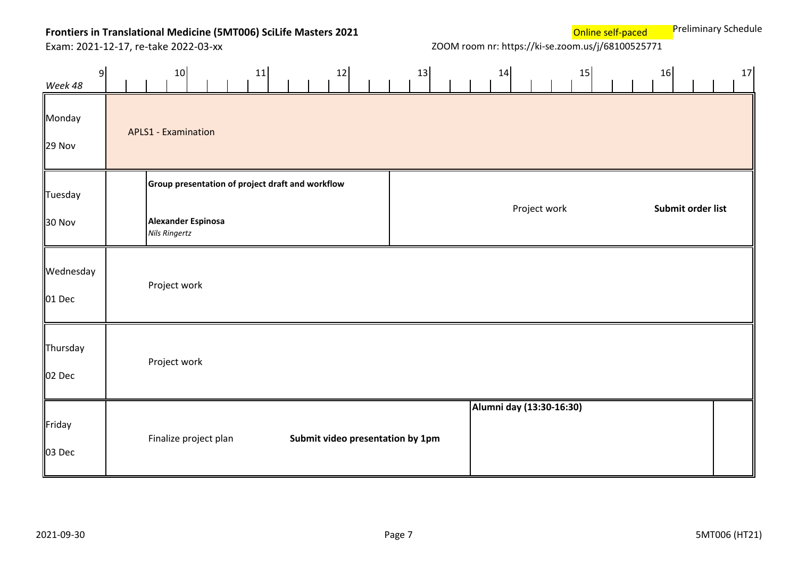**Online self-paced** Preliminary Schedule

| 9<br>Week 48             | 10 <sub>1</sub>                                                                                | 11 | 12 | 13                               |  | 14                       |              | 15 | 16 |                   | 17 |
|--------------------------|------------------------------------------------------------------------------------------------|----|----|----------------------------------|--|--------------------------|--------------|----|----|-------------------|----|
| Monday<br>29 Nov         | <b>APLS1 - Examination</b>                                                                     |    |    |                                  |  |                          |              |    |    |                   |    |
| Tuesday<br><b>30 Nov</b> | Group presentation of project draft and workflow<br>Alexander Espinosa<br><b>Nils Ringertz</b> |    |    |                                  |  |                          | Project work |    |    | Submit order list |    |
| Wednesday<br>01 Dec      | Project work                                                                                   |    |    |                                  |  |                          |              |    |    |                   |    |
| Thursday<br>02 Dec       | Project work                                                                                   |    |    |                                  |  |                          |              |    |    |                   |    |
| Friday<br>03 Dec         | Finalize project plan                                                                          |    |    | Submit video presentation by 1pm |  | Alumni day (13:30-16:30) |              |    |    |                   |    |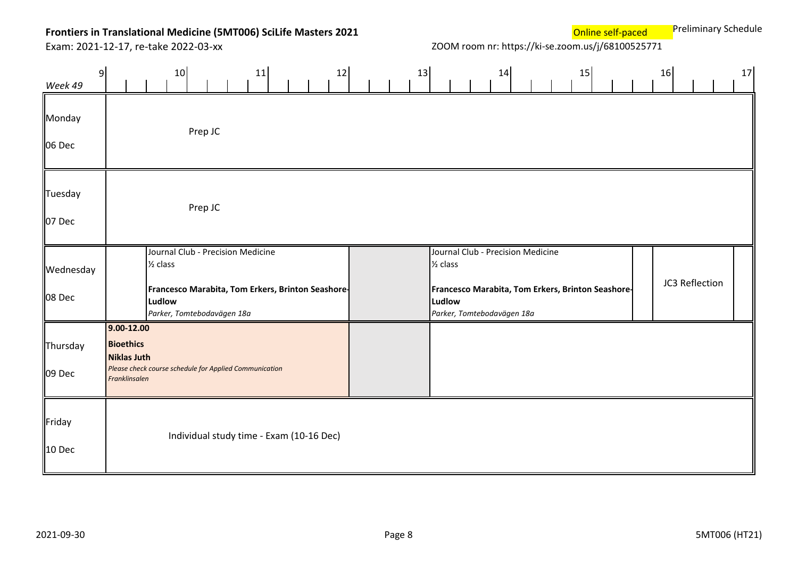**Online self-paced** Preliminary Schedule

| 9<br>Week 49        | 10<br>12<br>11                                                                                                                                        | 13 | 14                                                                                                                                                    | 15 | 16             | 17 |
|---------------------|-------------------------------------------------------------------------------------------------------------------------------------------------------|----|-------------------------------------------------------------------------------------------------------------------------------------------------------|----|----------------|----|
| Monday<br>06 Dec    | Prep JC                                                                                                                                               |    |                                                                                                                                                       |    |                |    |
| Tuesday<br>07 Dec   | Prep JC                                                                                                                                               |    |                                                                                                                                                       |    |                |    |
| Wednesday<br>08 Dec | Journal Club - Precision Medicine<br>$\frac{1}{2}$ class<br>Francesco Marabita, Tom Erkers, Brinton Seashore-<br>Ludlow<br>Parker, Tomtebodavägen 18a |    | Journal Club - Precision Medicine<br>$\frac{1}{2}$ class<br>Francesco Marabita, Tom Erkers, Brinton Seashore-<br>Ludlow<br>Parker, Tomtebodavägen 18a |    | JC3 Reflection |    |
| Thursday<br>09 Dec  | $9.00 - 12.00$<br><b>Bioethics</b><br><b>Niklas Juth</b><br>Please check course schedule for Applied Communication<br>Franklinsalen                   |    |                                                                                                                                                       |    |                |    |
| Friday<br>10 Dec    | Individual study time - Exam (10-16 Dec)                                                                                                              |    |                                                                                                                                                       |    |                |    |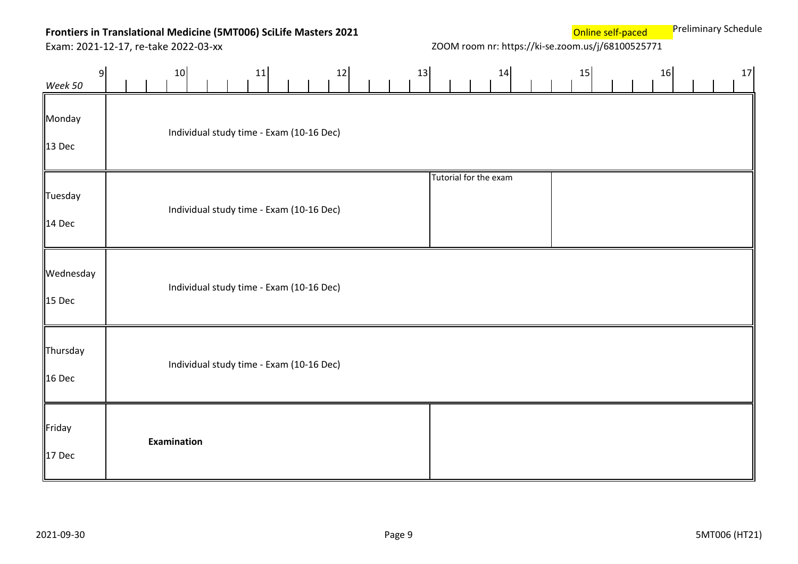Exam: 2021-12-17, re-take 2022-03-xx ZOOM room nr: https://ki-se.zoom.us/j/68100525771

**Online self-paced** Preliminary Schedule

| 9 <sup>1</sup><br>Week 50 | 12<br>13<br>11<br>10                     | 14<br>16<br>17<br>15  |
|---------------------------|------------------------------------------|-----------------------|
| Monday<br>13 Dec          | Individual study time - Exam (10-16 Dec) |                       |
| Tuesday<br>14 Dec         | Individual study time - Exam (10-16 Dec) | Tutorial for the exam |
| Wednesday<br>$15$ Dec     | Individual study time - Exam (10-16 Dec) |                       |
| Thursday<br>16 Dec        | Individual study time - Exam (10-16 Dec) |                       |
| Friday<br>17 Dec          | Examination                              |                       |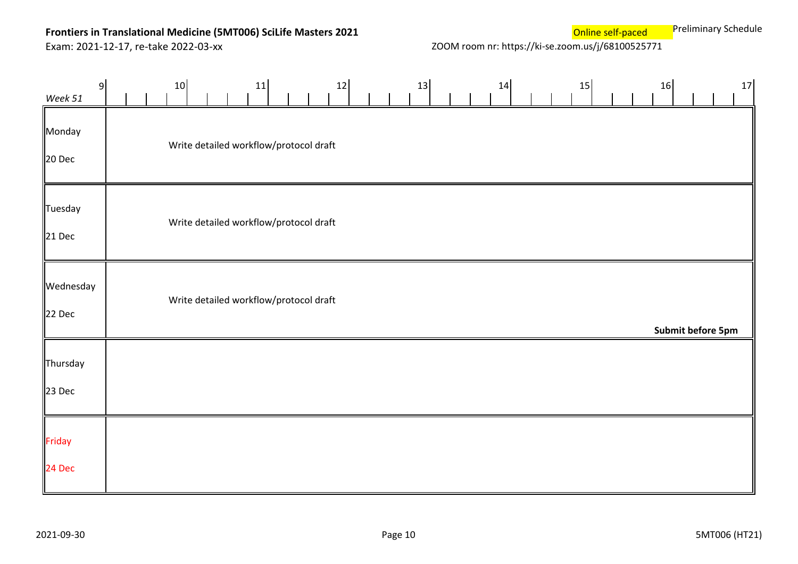Exam: 2021-12-17, re-take 2022-03-xx ZOOM room nr: https://ki-se.zoom.us/j/68100525771

**Online self-paced** Preliminary Schedule

| 9<br>Week 51        | 10                                     |  | 11 | 12 |  | 13 |  | 14 |  | 15 |  | 16 |                   | 17 |
|---------------------|----------------------------------------|--|----|----|--|----|--|----|--|----|--|----|-------------------|----|
| Monday<br>20 Dec    | Write detailed workflow/protocol draft |  |    |    |  |    |  |    |  |    |  |    |                   |    |
| Tuesday<br>21 Dec   | Write detailed workflow/protocol draft |  |    |    |  |    |  |    |  |    |  |    |                   |    |
| Wednesday<br>22 Dec | Write detailed workflow/protocol draft |  |    |    |  |    |  |    |  |    |  |    | Submit before 5pm |    |
| Thursday<br>23 Dec  |                                        |  |    |    |  |    |  |    |  |    |  |    |                   |    |
| Friday<br>24 Dec    |                                        |  |    |    |  |    |  |    |  |    |  |    |                   |    |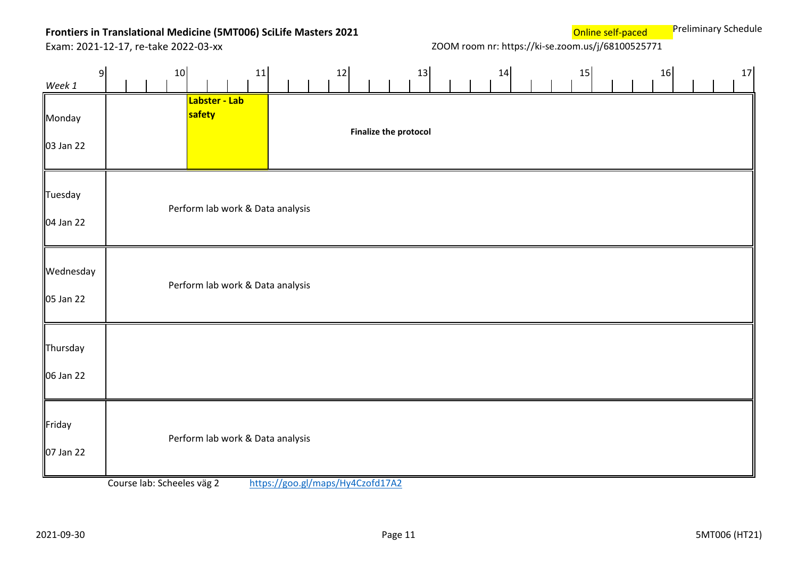**Online self-paced** Preliminary Schedule

Exam: 2021-12-17, re-take 2022-03-xx ZOOM room nr: https://ki-se.zoom.us/j/68100525771

| 9<br>Week 1            |                            | 10<br>11                         |                               | 12 | 13                           | 14 | 15 | 16 | 17 |
|------------------------|----------------------------|----------------------------------|-------------------------------|----|------------------------------|----|----|----|----|
| Monday<br>03 Jan 22    |                            | Labster - Lab<br>safety          |                               |    | <b>Finalize the protocol</b> |    |    |    |    |
| Tuesday<br>04 Jan 22   |                            | Perform lab work & Data analysis |                               |    |                              |    |    |    |    |
| Wednesday<br>05 Jan 22 |                            | Perform lab work & Data analysis |                               |    |                              |    |    |    |    |
| Thursday<br>06 Jan 22  |                            |                                  |                               |    |                              |    |    |    |    |
| Friday<br>07 Jan 22    | Course Jah: Schooles use 2 | Perform lab work & Data analysis | http://qoo /mone/Lu/Czofd1712 |    |                              |    |    |    |    |

Course lab: Scheeles väg 2 <https://goo.gl/maps/Hy4Czofd17A2>